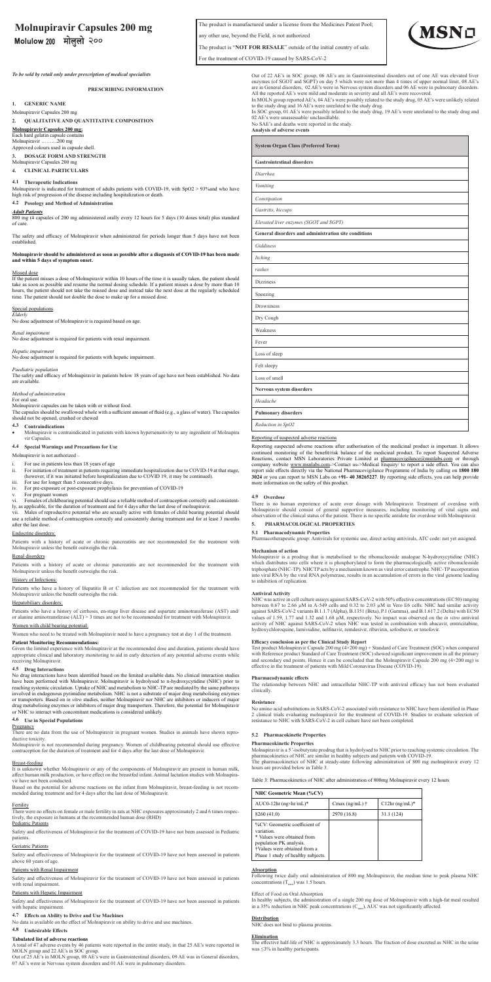The product is manufactured under a license from the Medicines Patent Pool;

any other use, beyond the Field, is not authorized

The product is "**NOT FOR RESALE**" outside of the initial country of sale.



For the treatment of COVID-19 caused by SARS-CoV-2

# **Molnupiravir Capsules 200 mg**

Molulow 200 मोलुलो २००

*To be sold by retail only under prescription of medical specialists*

**PRESCRIBING INFORMATION**

**1. GENERIC NAME**

### Molnupiravir Capsules 200 mg **2. QUALITATIVE AND QUANTITATIVE COMPOSITION**

**Molnupiravir Capsules 200 mg:**

## Each hard gelatin capsule contains Molnupiravir ………200 mg

Approved colours used in capsule shell.

**3. DOSAGE FORM AND STRENGTH** Molnupiravir Capsules 200 mg

**4. CLINICAL PARTICULARS**

### **4.1 Therapeutic Indications**

Molnupiravir is indicated for treatment of adults patients with COVID-19, with SpO2 > 93%and who have high risk of progression of the disease including hospitalization or death.

*Elderly* No dose adjustment of Molnupiravir is required based on age.

## **4.2 Posology and Method of Administration**

*Adult Patients* 800 mg (4 capsules of 200 mg administered orally every 12 hours for 5 days (10 doses total) plus standard of care.

The safety and efficacy of Molnupiravir when administered for periods longer than 5 days have not been established.

### **Molnupiravir should be administered as soon as possible after a diagnosis of COVID-19 has been made and within 5 days of symptom onset.**

### Missed dose

If the patient misses a dose of Molnupiravir within 10 hours of the time it is usually taken, the patient should take as soon as possible and resume the normal dosing schedule. If a patient misses a dose by more than 10 hours, the patient should not take the missed dose and instead take the next dose at the regularly scheduled time. The patient should not double the dose to make up for a missed dose.

- vi. Females of childbearing potential should use a reliable method of contraception correctly and consistent-<br>Jy, as applicable, for the duration of treatment and for 4 days after the last dose of molnupiravir.<br>vii.
- use a reliable method of contraception correctly and consistently during treatment and for at least 3 months after the last dose.

### Special populations

### *Renal impairment*

No dose adjustment is required for patients with renal impairment.

### *Hepatic impairment*

No dose adjustment is required for patients with hepatic impairment.

Patients who have a history of cirrhosis, en-stage liver disease and aspartate aminotransferase (AST) and/ or alanine aminotransferase (ALT) > 3 times are not to be recommended for treatment with Molnupiravir.

### *Paediatric population*

and efficacy of Molnupiravir in patients below 18 years of age have not been established. No data The safety and<br>are available.

### *Method of administration*

For oral use

Molnupiravir capsules can be taken with or without food. The capsules should be swallowed whole with a sufficient amount of fluid (e.g., a glass of water). The capsules should not be opened, crushed or chewed

### **4.3 Contraindications**

• Molnupiravir is contraindicated in patients with known hypersensitivity to any ingredient of Molnupira vir Capsules.

### **4.4 Special Warnings and Precautions for Use**

Molnupiravir is not authorized –

- i. For use in patients less than 18 years of age<br>ii. For initiation of treatment in patients requiring immediate hospitalization due to COVID-19 at that stage,<br>(however, if it was initiated before hospitalization due to CO
- iii. For use for longer than 5 consecutive days. iv. For pre-exposure or post-exposure prophylaxis for prevention of COVID-19
- For pregnant women
- 

en identified based on the limited available data. No clinical inter have been performed with Molnupiravir. Molnupiravir is hydrolysed to n-hydroxycytidine (NHC) prior to reaching systemic circulation. Uptake of NHC and metabolism to NHC-TP are mediated by the same pathways<br>involved in endogenous pyrimidine metabolism. NHC is not a substrate of major drug metabolising enzymes<br>or transporter drug metabolising enzymes or inhibitors of major drug transporters. Therefore, the potential for Molnupiravir or NHC to interact with concomitant medications is considered unlikely.

There are no data from the use of Molnupiravir in pregnant women. Studies in animals have shown reproductive toxicity.

Breast-feeding<br>It is unknown whether Molnupiravir or any of the components of Molnupiravir are present in human milk, affect human milk production, or have effect on the breastfed infant. Animal lactation studies with Molnupira-

There were no effects on female or male fertility in rats at NHC exposures approximately 2 and 6 times respectively, the exposure in humans at the recommended human dose (RHD)

### Pediatric Patients

### Endocrine disorders:

Patients with a history of acute or chronic pancreatitis are not recommended for the treatment with Molnupiravir unless the benefit outweighs the risk.

### Renal disorders

Patients with a history of acute or chronic pancreatitis are not recommended for the treatment with Molnupiravir unless the benefit outweighs the risk.

Out of 22 AE's in SOC group, 06 AE's are in Gastrointestinal disorders out of one AE was elevated liver enzymes (of SGOT and SGPT) on day 5 which were not more than 4 times of upper normal limit, 08 AE's are in General disorders, 02 AE's were in Nervous system disorders and 06 AE were in pulmonary disorders.<br>All the reported AE's were mild and moderate in severity and all AE's were recovered.<br>In MOLN group reported AE's, 0

to the study drug and 16 AE's were unrelated to the study drug.<br>In SOC group, 01 AE's were possibly related to the study drug, 19 AE's were unrelated to the study drug and<br>02 AE's were unassessable/ unclassifiable.

### History of Infections:

Patients who have a history of Hepatitis B or C infection are not recommended for the treatment with Molnupiravir unless the benefit outweighs the risk.

### Hepatobiliary disorders:

## Women with child bearing potential:

Women who need to be treated with Molnupiravir need to have a pregnancy test at day 1 of the treatment.

### **Patient Monitoring Recommendations:**

Reporting suspected adverse reactions after authorisation of the medicinal product is important. It allows continued monitoring of the benefit/risk balance of the medicinal product. To report Suspected Adverse<br>Reactions, contact MSN Laboratories Private Limited at <u>pharmacovigilance@msnlabs.com</u> or through<br>company website <u>www.</u> report side effects directly via the National Pharmacovigilance Programme of India by calling on 1800 180<br>3024 or you can report to MSN Labs on +91- 40 38265227. By reporting side effects, you can help provide<br>more informa

Given the limited experience with Molnupiravir at the recommended dose and duration, patients should have appropriate clinical and laboratory monitoring to aid in early detection of any potential adverse events while receiving Molnupiravir.

# **4.5 Drug Interactions**

## **4.6 Use in Special Populations**

Pregnancy

Test product Molnupiravir Capsule 200 mg (4×200 mg) + Standard of Care Treatment (SOC) when compared with Reference product Standard of Care Treatment (SOC) showed significant improvement in all the primary<br>and secondary end points. Hence it can be concluded that the Molnupiravir Capsule 200 mg (4×200 mg) is<br>effective in

Molnupiravir is not recommended during pregnancy. Women of childbearing potential should use effective contraception for the duration of treatment and for 4 days after the last dose of Molnupiravir.

vir have not been conducted.

Based on the potential for adverse reactions on the infant from Molnupiravir, breast-feeding is not recommended during treatment and for 4 days after the last dose of Molnupiravir.

Molnupiravir is a 5 '-isobutyrate prodrug that is hydrolysed to NHC prior to reaching systemic circulation. The<br>pharmacokinetics of NHC are similar in healthy subjects and patients with COVID-19.<br>The pharmacokinetics of NH hours are provided below in Table 3.

### Fertility

Safety and effectiveness of Molnupiravir for the treatment of COVID-19 have not been assessed in Pediatric patients.

### Geriatric Patients

Safety and effectiveness of Molnupiravir for the treatment of COVID-19 have not been assessed in patients above 60 years of age.

### Patients with Renal Impairment

Safety and effectiveness of Molnupiravir for the treatment of COVID-19 have not been assessed in patients with renal impairment.

### Patients with Hepatic Impairment

Safety and effectiveness of Molnupiravir for the treatment of COVID-19 have not been assessed in patients with hepatic impairment.

### **4.7 Effects on Ability to Drive and Use Machines**

No data is available on the effect of Molnupiravir on ability to drive and use machines.

### **4.8 Undesirable Effects**

### **Tabulated list of adverse reactions**

A total of 47 adverse events by 46 patients were reported in the entire study, in that 25 AE's were reported in MOLN group and 22 AE's in SOC group.

Out of 25 AE's in MOLN group, 08 AE's were in Gastrointestinal disorders, 09 AE was in General disorders, 07 AE's were in Nervous system disorders and 01 AE were in pulmonary disorders.

No SAE's and deaths were reported in the study. **Analysis of adverse events**

## **System Organ Class (Preferred Term) Gastrointestinal disorders** *Diarrhea Vomiting Constipation Gastritis, hiccups Elevated liver enzymes (SGOT and SGPT)*  **General disorders and administration site conditions** *Giddiness Itching rashes* Dizziness Sneezing Drowsiness Dry Cough Weakness Fever Loss of sleep Felt sleepy Loss of smell **Nervous system disorders** *Headache* **Pulmonary disorders** *Reduction in SpO2*

### Reporting of suspected adverse reactions

### **4.9 Overdose**

There is no human experience of acute over dosage with Molnupiravir. Treatment of overdose with Molnupiravir should consist of general supportive measures, including monitoring of vital signs and observation of the clinical status of the patient. There is no specific antidote for overdose with Molnupiravir. **5. PHARMACOLOGICAL PROPERTIES**

**5.1 Pharmacodynamic Properties** Pharmacotherapeutic group: Antivirals for systemic use, direct acting antivirals, ATC code: not yet assigned.

### **Mechanism of action**

Molnupiravir is a prodrug that is metabolised to the ribonucleoside analogue N-hydroxycytidine (NHC) which distributes into cells where it is phosphorylated to form the pharmacologically active ribonucleoside triphosphate (NHC-TP). NHCTP acts by a mechanism known as viral error catastrophe. NHC-TP incorporation into viral RNA by the viral RNA polymerase, results in an accumulation of errors in the viral genome leading to inhibition of replication.

### **Antiviral Activity**

NHC was active in cell culture assays against SARS-CoV-2 with 50% effective concentrations (EC50) ranging<br>between 0.67 to 2.66 µM in A-549 cells and 0.32 to 2.03 µM in Vero E6 cells. NHC had similar activity<br>against SARS-C values of 1.59, 1.77 and 1.32 and 1.68 µM, respectively. No impact was observed on the *in vitro* antiviral values<br>activity of NHC against SARS-CoV-2 when NHC was tested in combination with abacavir, emtricitabine,<br>hydroxy

### **Efficacy conclusion as per the Clinical Study Report**

**Pharmacodynamic effects** The relationship between NHC and intracellular NHC-TP with antiviral efficacy has not been evaluated clinically.

### **Resistance**

No amino acid substitutions in SARS-CoV-2 associated with resistance to NHC have been identified in Phase<br>2 clinical trials evaluating mohupiravir for the treatment of COVID-19. Studies to evaluate selection of<br>resistance

### **5.2 Pharmacokinetic Properties**

**Pharmacokinetic Properties**

Table 3: Pharmacokinetics of NHC after administration of 800mg Molnupiravir every 12 hours

| <b>NHC Geometric Mean (%CV)</b>                                                                                                                                             |                        |                  |
|-----------------------------------------------------------------------------------------------------------------------------------------------------------------------------|------------------------|------------------|
| $AUC0-12hr$ (ng×hr/mL)*                                                                                                                                                     | Cmax (ng/mL) $\dagger$ | $C12hr$ (ng/mL)* |
| 8260 (41.0)                                                                                                                                                                 | 2970 (16.8)            | 31.1 (124)       |
| %CV: Geometric coefficient of<br>variation.<br>* Values were obtained from<br>population PK analysis.<br>†Values were obtained from a<br>Phase 1 study of healthy subjects. |                        |                  |

### **Absorption**

Following twice daily oral administration of 800 mg Molnupiravir, the median time to peak plasma NHC concentrations  $(T<sub>max</sub>)$  was 1.5 hours.

### Effect of Food on Oral Absorption

In healthy subjects, the administration of a single 200 mg dose of Molnupiravir with a high-fat meal resulted in a 35% reduction in NHC peak concentrations ( $C_{\text{max}}$ ), AUC was not significantly affected.

**Distribution** NHC does not bind to plasma proteins.

**Elimination** The effective half-life of NHC is approximately 3.3 hours. The fraction of dose excreted as NHC in the urine was ≤3% in healthy participants.